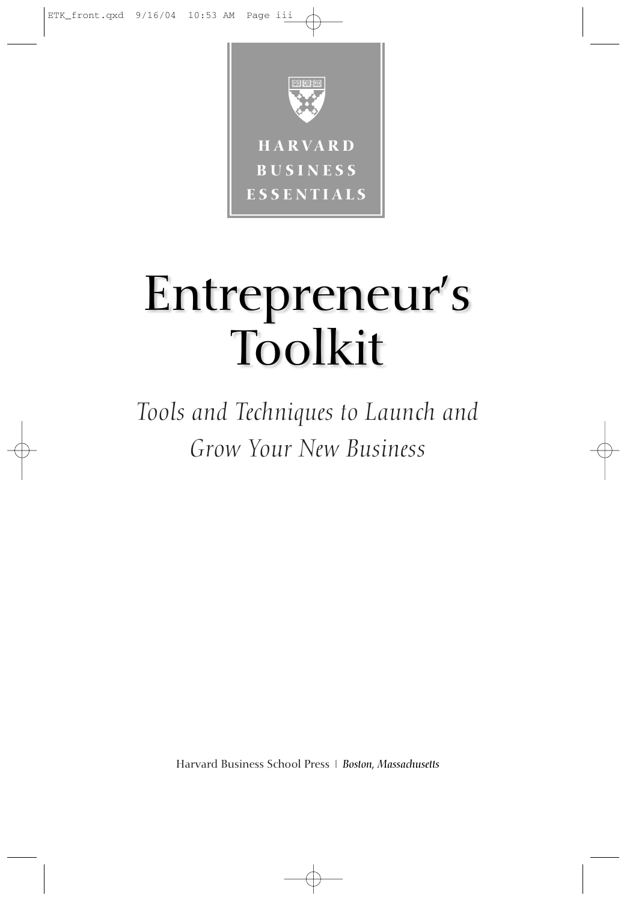

# Entrepreneur's Toolkit

*Tools and Techniques to Launch and Grow Your New Business*

Harvard Business School Press–| –*Boston, Massachusetts*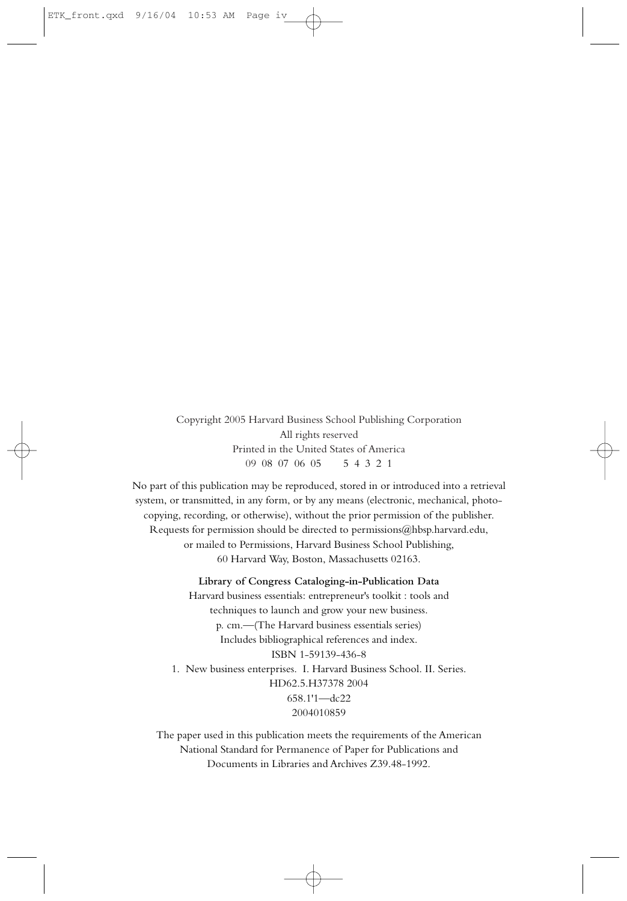Copyright 2005 Harvard Business School Publishing Corporation All rights reserved Printed in the United States of America 09–08–07–06–05——5–4–3–2–1

No part of this publication may be reproduced, stored in or introduced into a retrieval system, or transmitted, in any form, or by any means (electronic, mechanical, photocopying, recording, or otherwise), without the prior permission of the publisher. Requests for permission should be directed to permissions  $@hbsp.harvard.edu$ , or mailed to Permissions, Harvard Business School Publishing, 60 Harvard Way, Boston, Massachusetts 02163.

**Library of Congress Cataloging-in-Publication Data**

Harvard business essentials: entrepreneur's toolkit : tools and techniques to launch and grow your new business. p. cm.—(The Harvard business essentials series) Includes bibliographical references and index. ISBN 1-59139-436-8 1. New business enterprises. I. Harvard Business School. II. Series. HD62.5.H37378 2004 658.1'1—dc22 2004010859

The paper used in this publication meets the requirements of the American National Standard for Permanence of Paper for Publications and Documents in Libraries and Archives Z39.48-1992.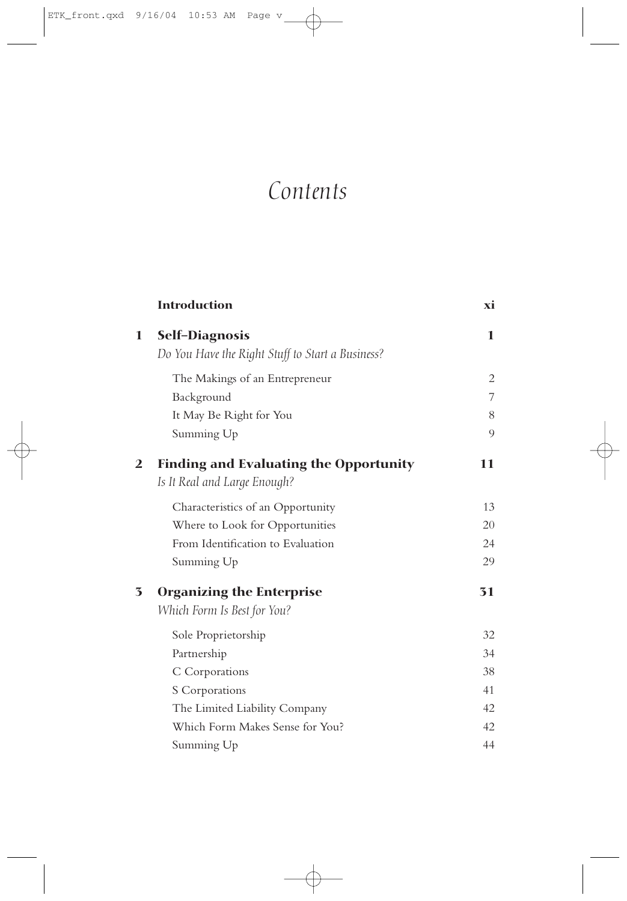# *Contents*

|                         | <b>Introduction</b>                                                       | хi |
|-------------------------|---------------------------------------------------------------------------|----|
| 1                       | <b>Self-Diagnosis</b><br>Do You Have the Right Stuff to Start a Business? | 1  |
|                         | The Makings of an Entrepreneur                                            | 2  |
|                         | Background                                                                | 7  |
|                         | It May Be Right for You                                                   | 8  |
|                         | Summing Up                                                                | 9  |
| $\overline{2}$          | <b>Finding and Evaluating the Opportunity</b>                             | 11 |
|                         | Is It Real and Large Enough?                                              |    |
|                         | Characteristics of an Opportunity                                         | 13 |
|                         | Where to Look for Opportunities                                           | 20 |
|                         | From Identification to Evaluation                                         | 24 |
|                         | Summing Up                                                                | 29 |
| $\overline{\mathbf{3}}$ | <b>Organizing the Enterprise</b>                                          | 31 |
|                         | Which Form Is Best for You?                                               |    |
|                         | Sole Proprietorship                                                       | 32 |
|                         | Partnership                                                               | 34 |
|                         | C Corporations                                                            | 38 |
|                         | S Corporations                                                            | 41 |
|                         | The Limited Liability Company                                             | 42 |
|                         | Which Form Makes Sense for You?                                           | 42 |
|                         | Summing Up                                                                | 44 |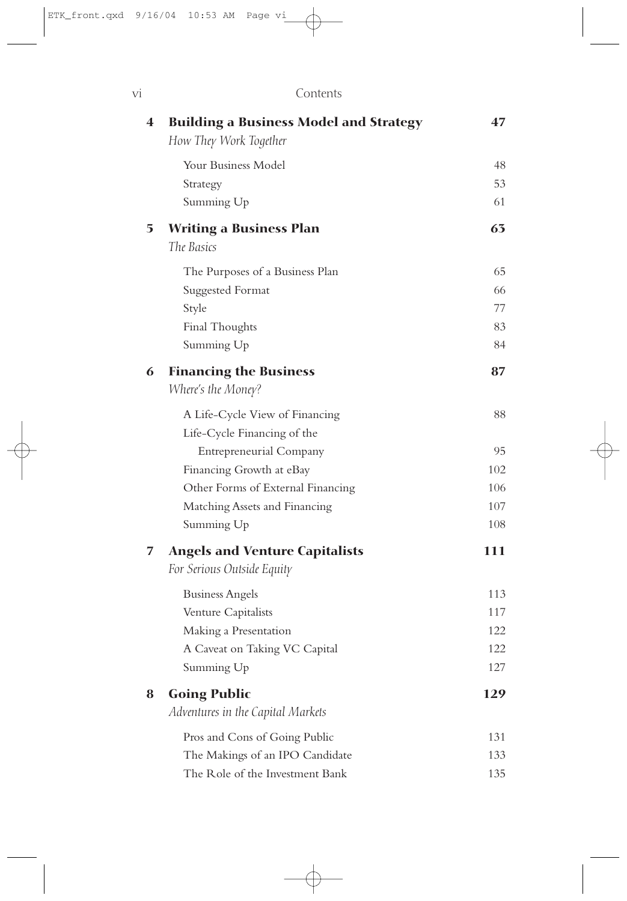| Vİ                      | Contents                                                                |     |
|-------------------------|-------------------------------------------------------------------------|-----|
| $\overline{\mathbf{4}}$ | <b>Building a Business Model and Strategy</b><br>How They Work Together | 47  |
|                         | Your Business Model                                                     | 48  |
|                         | Strategy                                                                | 53  |
|                         | Summing Up                                                              | 61  |
| 5                       | <b>Writing a Business Plan</b>                                          | 63  |
|                         | The Basics                                                              |     |
|                         | The Purposes of a Business Plan                                         | 65  |
|                         | Suggested Format                                                        | 66  |
|                         | Style                                                                   | 77  |
|                         | Final Thoughts                                                          | 83  |
|                         | Summing Up                                                              | 84  |
| 6                       | <b>Financing the Business</b>                                           | 87  |
|                         | Where's the Money?                                                      |     |
|                         | A Life-Cycle View of Financing                                          | 88  |
|                         | Life-Cycle Financing of the                                             |     |
|                         | <b>Entrepreneurial Company</b>                                          | 95  |
|                         | Financing Growth at eBay                                                | 102 |
|                         | Other Forms of External Financing                                       | 106 |
|                         | Matching Assets and Financing                                           | 107 |
|                         | Summing Up                                                              | 108 |
| 7                       | <b>Angels and Venture Capitalists</b><br>For Serious Outside Equity     | 111 |
|                         | <b>Business Angels</b>                                                  | 113 |
|                         | Venture Capitalists                                                     | 117 |
|                         | Making a Presentation                                                   | 122 |
|                         | A Caveat on Taking VC Capital                                           | 122 |
|                         | Summing Up                                                              | 127 |
| 8                       | <b>Going Public</b>                                                     | 129 |
|                         | Adventures in the Capital Markets                                       |     |
|                         | Pros and Cons of Going Public                                           | 131 |
|                         | The Makings of an IPO Candidate                                         | 133 |
|                         | The Role of the Investment Bank                                         | 135 |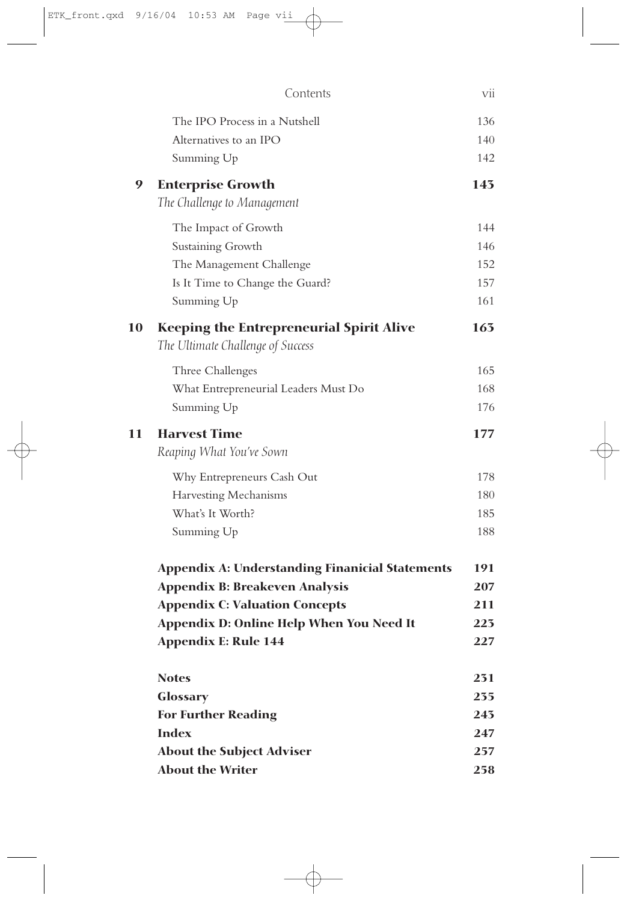|    | Contents                                                                             | vii |
|----|--------------------------------------------------------------------------------------|-----|
|    | The IPO Process in a Nutshell                                                        | 136 |
|    | Alternatives to an IPO                                                               | 140 |
|    | Summing Up                                                                           | 142 |
| 9  | <b>Enterprise Growth</b>                                                             | 143 |
|    | The Challenge to Management                                                          |     |
|    | The Impact of Growth                                                                 | 144 |
|    | Sustaining Growth                                                                    | 146 |
|    | The Management Challenge                                                             | 152 |
|    | Is It Time to Change the Guard?                                                      | 157 |
|    | Summing Up                                                                           | 161 |
| 10 | <b>Keeping the Entrepreneurial Spirit Alive</b><br>The Ultimate Challenge of Success | 163 |
|    | Three Challenges                                                                     | 165 |
|    | What Entrepreneurial Leaders Must Do                                                 | 168 |
|    | Summing Up                                                                           | 176 |
| 11 | <b>Harvest Time</b>                                                                  | 177 |
|    | Reaping What You've Sown                                                             |     |
|    | Why Entrepreneurs Cash Out                                                           | 178 |
|    | Harvesting Mechanisms                                                                | 180 |
|    | What's It Worth?                                                                     | 185 |
|    | Summing Up                                                                           | 188 |
|    | <b>Appendix A: Understanding Finanicial Statements</b>                               | 191 |
|    | <b>Appendix B: Breakeven Analysis</b>                                                | 207 |
|    | <b>Appendix C: Valuation Concepts</b>                                                | 211 |
|    | Appendix D: Online Help When You Need It                                             | 223 |
|    | <b>Appendix E: Rule 144</b>                                                          | 227 |
|    | <b>Notes</b>                                                                         | 231 |
|    | Glossary                                                                             | 235 |
|    | <b>For Further Reading</b>                                                           | 243 |
|    | <b>Index</b>                                                                         | 247 |
|    | <b>About the Subject Adviser</b>                                                     | 257 |
|    | <b>About the Writer</b>                                                              | 258 |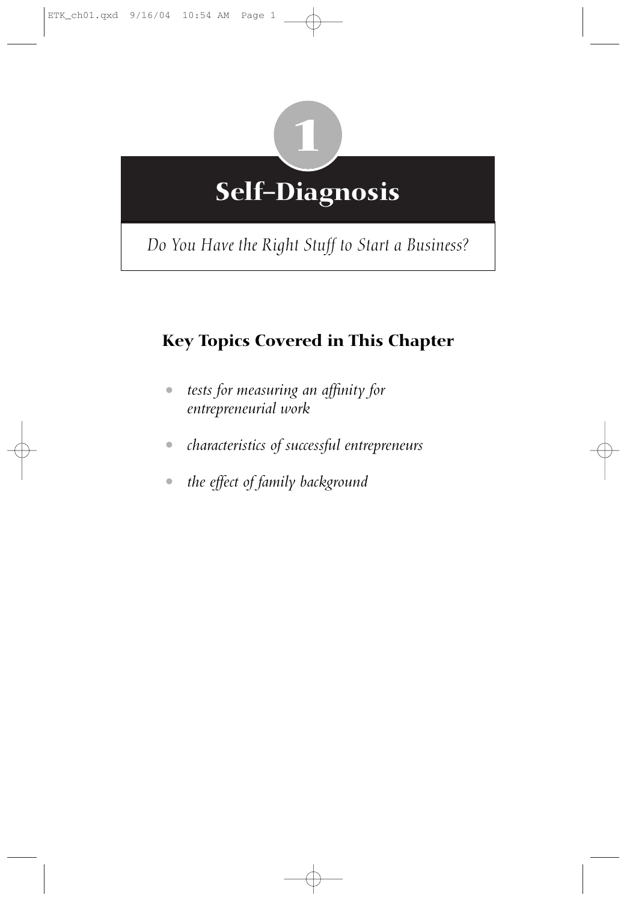

*Do You Have the Right Stuff to Start a Business?*

# **Key Topics Covered in This Chapter**

- *tests for measuring an affinity for entrepreneurial work*
- *characteristics of successful entrepreneurs*
- *the effect of family background*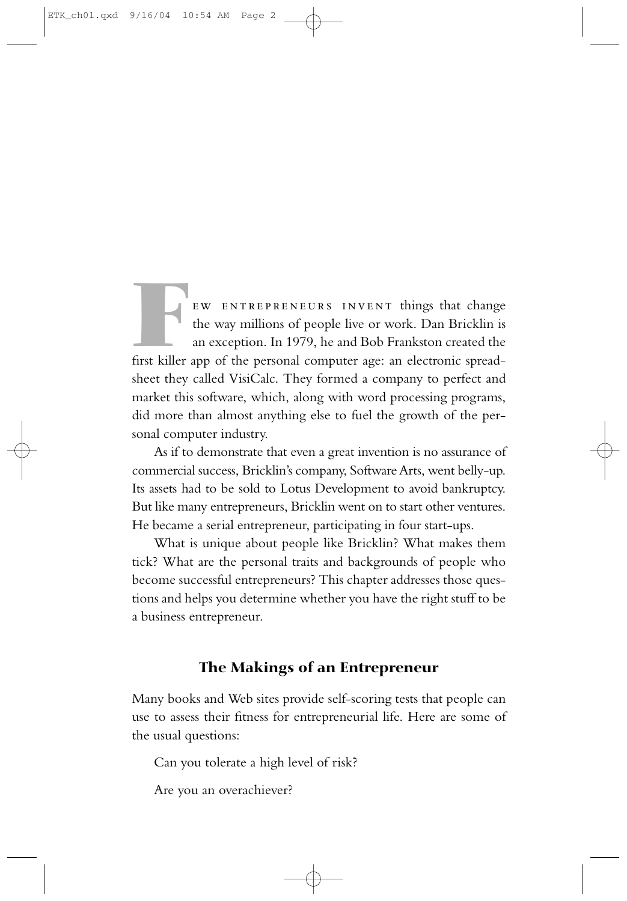EW ENTREPRENEURS INVENT things that change<br>the way millions of people live or work. Dan Bricklin is<br>an exception. In 1979, he and Bob Frankston created the<br>first killer app of the personal computer age: an electronic sprea the way millions of people live or work. Dan Bricklin is an exception. In 1979, he and Bob Frankston created the first killer app of the personal computer age: an electronic spreadsheet they called VisiCalc. They formed a company to perfect and market this software, which, along with word processing programs, did more than almost anything else to fuel the growth of the personal computer industry.

As if to demonstrate that even a great invention is no assurance of commercial success, Bricklin's company, Software Arts, went belly-up. Its assets had to be sold to Lotus Development to avoid bankruptcy. But like many entrepreneurs, Bricklin went on to start other ventures. He became a serial entrepreneur, participating in four start-ups.

What is unique about people like Bricklin? What makes them tick? What are the personal traits and backgrounds of people who become successful entrepreneurs? This chapter addresses those questions and helps you determine whether you have the right stuff to be a business entrepreneur.

## **The Makings of an Entrepreneur**

Many books and Web sites provide self-scoring tests that people can use to assess their fitness for entrepreneurial life. Here are some of the usual questions:

Can you tolerate a high level of risk?

Are you an overachiever?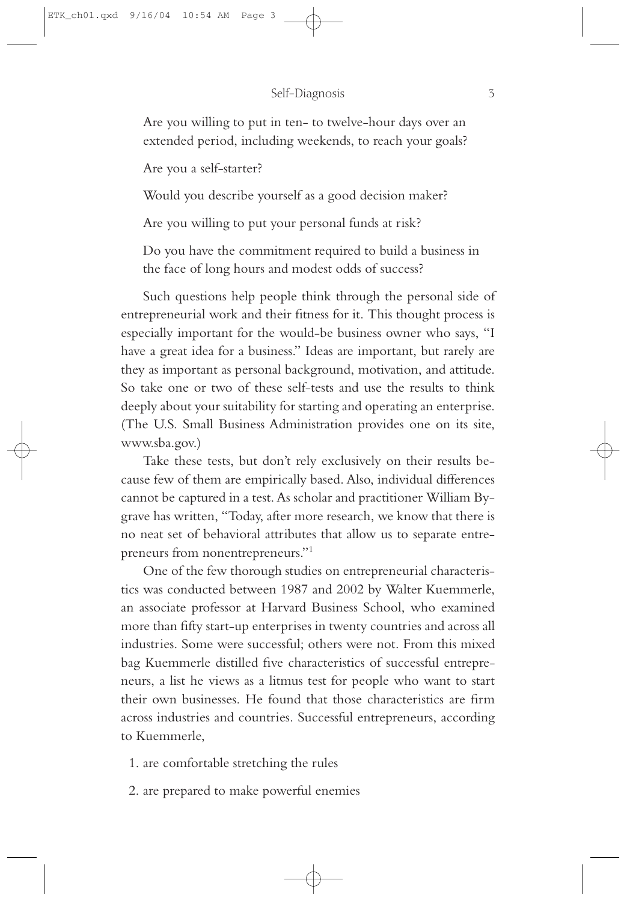Are you willing to put in ten- to twelve-hour days over an extended period, including weekends, to reach your goals?

Are you a self-starter?

Would you describe yourself as a good decision maker?

Are you willing to put your personal funds at risk?

Do you have the commitment required to build a business in the face of long hours and modest odds of success?

Such questions help people think through the personal side of entrepreneurial work and their fitness for it. This thought process is especially important for the would-be business owner who says, "I have a great idea for a business." Ideas are important, but rarely are they as important as personal background, motivation, and attitude. So take one or two of these self-tests and use the results to think deeply about your suitability for starting and operating an enterprise. (The U.S. Small Business Administration provides one on its site, www.sba.gov.)

Take these tests, but don't rely exclusively on their results because few of them are empirically based. Also, individual differences cannot be captured in a test. As scholar and practitioner William Bygrave has written, "Today, after more research, we know that there is no neat set of behavioral attributes that allow us to separate entrepreneurs from nonentrepreneurs."1

One of the few thorough studies on entrepreneurial characteristics was conducted between 1987 and 2002 by Walter Kuemmerle, an associate professor at Harvard Business School, who examined more than fifty start-up enterprises in twenty countries and across all industries. Some were successful; others were not. From this mixed bag Kuemmerle distilled five characteristics of successful entrepreneurs, a list he views as a litmus test for people who want to start their own businesses. He found that those characteristics are firm across industries and countries. Successful entrepreneurs, according to Kuemmerle,

- 1. are comfortable stretching the rules
- 2. are prepared to make powerful enemies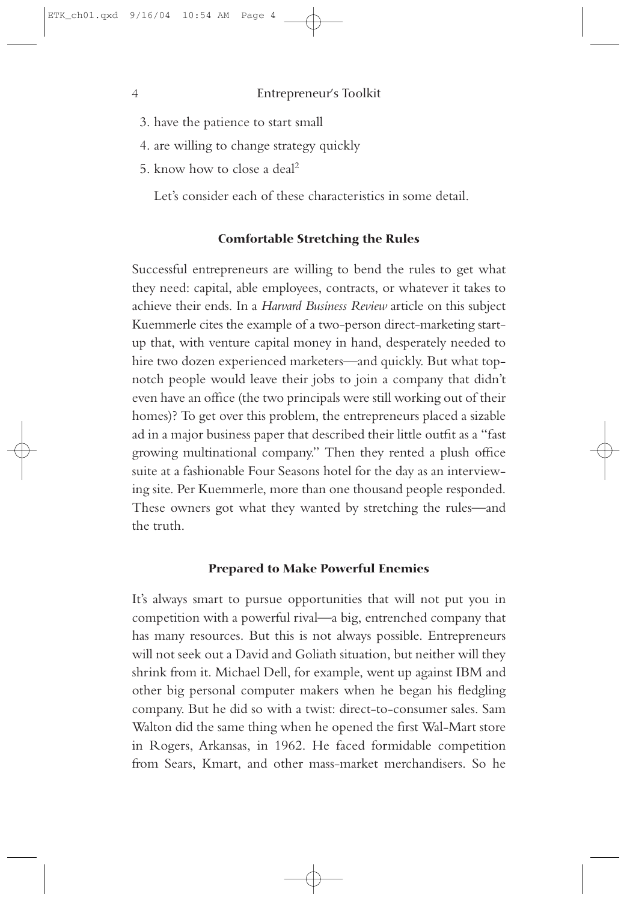- 3. have the patience to start small
- 4. are willing to change strategy quickly
- 5. know how to close a deal2

Let's consider each of these characteristics in some detail.

#### **Comfortable Stretching the Rules**

Successful entrepreneurs are willing to bend the rules to get what they need: capital, able employees, contracts, or whatever it takes to achieve their ends. In a *Harvard Business Review* article on this subject Kuemmerle cites the example of a two-person direct-marketing startup that, with venture capital money in hand, desperately needed to hire two dozen experienced marketers—and quickly. But what topnotch people would leave their jobs to join a company that didn't even have an office (the two principals were still working out of their homes)? To get over this problem, the entrepreneurs placed a sizable ad in a major business paper that described their little outfit as a "fast growing multinational company." Then they rented a plush office suite at a fashionable Four Seasons hotel for the day as an interviewing site. Per Kuemmerle, more than one thousand people responded. These owners got what they wanted by stretching the rules—and the truth.

#### **Prepared to Make Powerful Enemies**

It's always smart to pursue opportunities that will not put you in competition with a powerful rival—a big, entrenched company that has many resources. But this is not always possible. Entrepreneurs will not seek out a David and Goliath situation, but neither will they shrink from it. Michael Dell, for example, went up against IBM and other big personal computer makers when he began his fledgling company. But he did so with a twist: direct-to-consumer sales. Sam Walton did the same thing when he opened the first Wal-Mart store in Rogers, Arkansas, in 1962. He faced formidable competition from Sears, Kmart, and other mass-market merchandisers. So he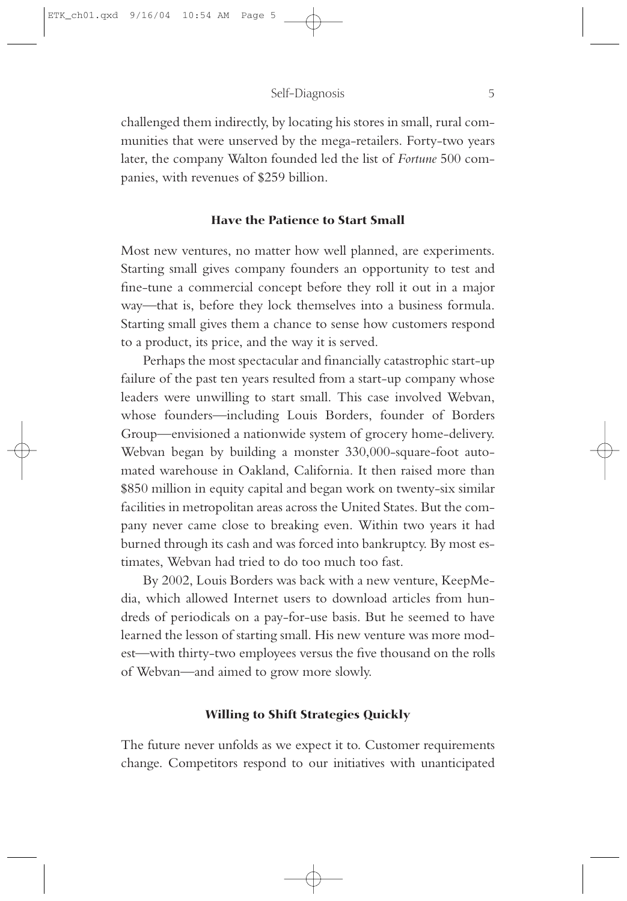challenged them indirectly, by locating his stores in small, rural communities that were unserved by the mega-retailers. Forty-two years later, the company Walton founded led the list of *Fortune* 500 companies, with revenues of \$259 billion.

#### **Have the Patience to Start Small**

Most new ventures, no matter how well planned, are experiments. Starting small gives company founders an opportunity to test and fine-tune a commercial concept before they roll it out in a major way—that is, before they lock themselves into a business formula. Starting small gives them a chance to sense how customers respond to a product, its price, and the way it is served.

Perhaps the most spectacular and financially catastrophic start-up failure of the past ten years resulted from a start-up company whose leaders were unwilling to start small. This case involved Webvan, whose founders—including Louis Borders, founder of Borders Group—envisioned a nationwide system of grocery home-delivery. Webvan began by building a monster 330,000-square-foot automated warehouse in Oakland, California. It then raised more than \$850 million in equity capital and began work on twenty-six similar facilities in metropolitan areas across the United States. But the company never came close to breaking even. Within two years it had burned through its cash and was forced into bankruptcy. By most estimates, Webvan had tried to do too much too fast.

By 2002, Louis Borders was back with a new venture, KeepMedia, which allowed Internet users to download articles from hundreds of periodicals on a pay-for-use basis. But he seemed to have learned the lesson of starting small. His new venture was more modest—with thirty-two employees versus the five thousand on the rolls of Webvan—and aimed to grow more slowly.

#### **Willing to Shift Strategies Quickly**

The future never unfolds as we expect it to. Customer requirements change. Competitors respond to our initiatives with unanticipated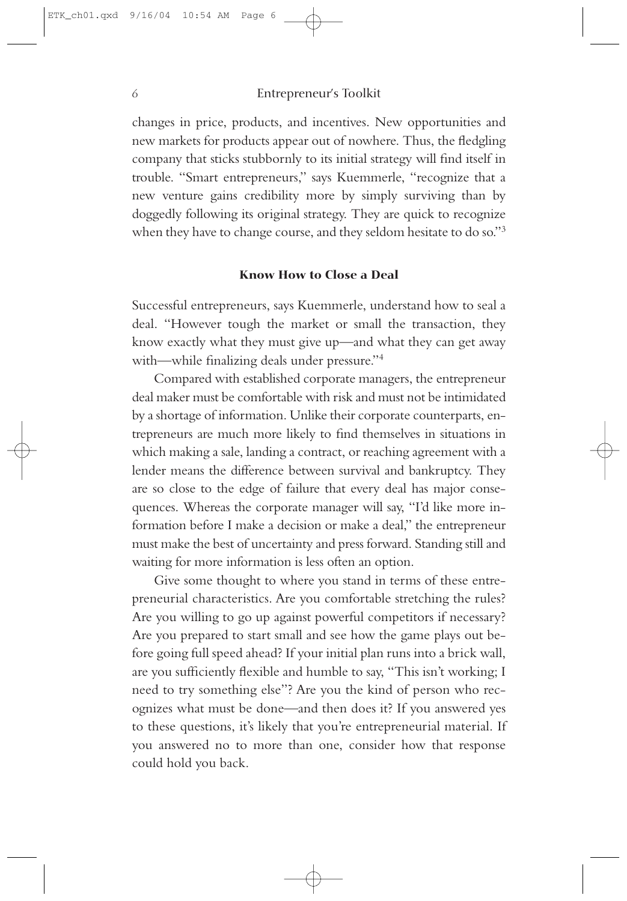changes in price, products, and incentives. New opportunities and new markets for products appear out of nowhere. Thus, the fledgling company that sticks stubbornly to its initial strategy will find itself in trouble. "Smart entrepreneurs," says Kuemmerle, "recognize that a new venture gains credibility more by simply surviving than by doggedly following its original strategy. They are quick to recognize when they have to change course, and they seldom hesitate to do so."<sup>3</sup>

#### **Know How to Close a Deal**

Successful entrepreneurs, says Kuemmerle, understand how to seal a deal. "However tough the market or small the transaction, they know exactly what they must give up—and what they can get away with—while finalizing deals under pressure."4

Compared with established corporate managers, the entrepreneur deal maker must be comfortable with risk and must not be intimidated by a shortage of information. Unlike their corporate counterparts, entrepreneurs are much more likely to find themselves in situations in which making a sale, landing a contract, or reaching agreement with a lender means the difference between survival and bankruptcy. They are so close to the edge of failure that every deal has major consequences. Whereas the corporate manager will say, "I'd like more information before I make a decision or make a deal," the entrepreneur must make the best of uncertainty and press forward. Standing still and waiting for more information is less often an option.

Give some thought to where you stand in terms of these entrepreneurial characteristics. Are you comfortable stretching the rules? Are you willing to go up against powerful competitors if necessary? Are you prepared to start small and see how the game plays out before going full speed ahead? If your initial plan runs into a brick wall, are you sufficiently flexible and humble to say, "This isn't working; I need to try something else"? Are you the kind of person who recognizes what must be done—and then does it? If you answered yes to these questions, it's likely that you're entrepreneurial material. If you answered no to more than one, consider how that response could hold you back.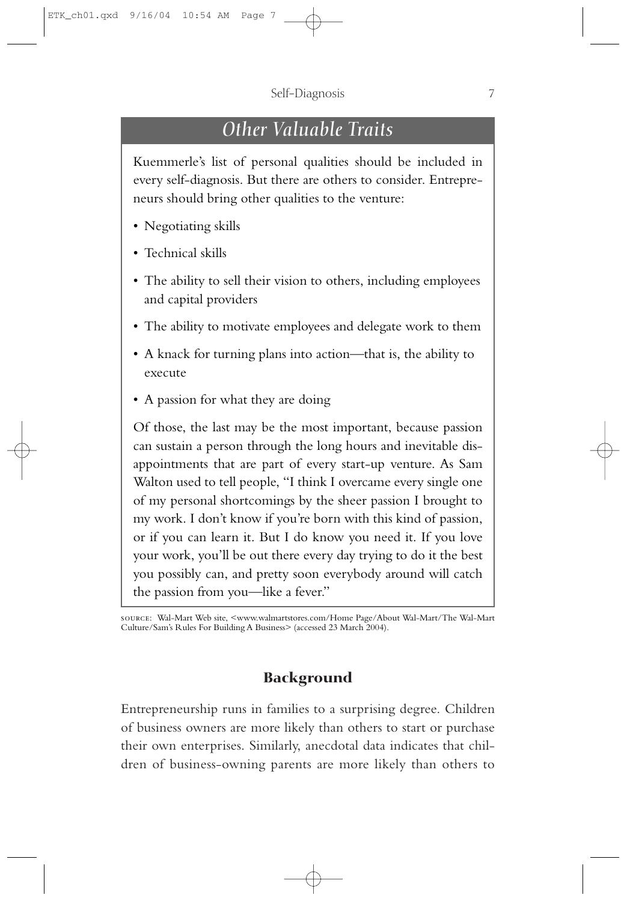# *Other Valuable Traits*

Kuemmerle's list of personal qualities should be included in every self-diagnosis. But there are others to consider. Entrepreneurs should bring other qualities to the venture:

- Negotiating skills
- Technical skills
- The ability to sell their vision to others, including employees and capital providers
- The ability to motivate employees and delegate work to them
- A knack for turning plans into action—that is, the ability to execute
- A passion for what they are doing

Of those, the last may be the most important, because passion can sustain a person through the long hours and inevitable disappointments that are part of every start-up venture. As Sam Walton used to tell people, "I think I overcame every single one of my personal shortcomings by the sheer passion I brought to my work. I don't know if you're born with this kind of passion, or if you can learn it. But I do know you need it. If you love your work, you'll be out there every day trying to do it the best you possibly can, and pretty soon everybody around will catch the passion from you—like a fever."

source: Wal-Mart Web site, <www.walmartstores.com/Home Page/About Wal-Mart/The Wal-Mart Culture/Sam's Rules For Building A Business> (accessed 23 March 2004).

## **Background**

Entrepreneurship runs in families to a surprising degree. Children of business owners are more likely than others to start or purchase their own enterprises. Similarly, anecdotal data indicates that children of business-owning parents are more likely than others to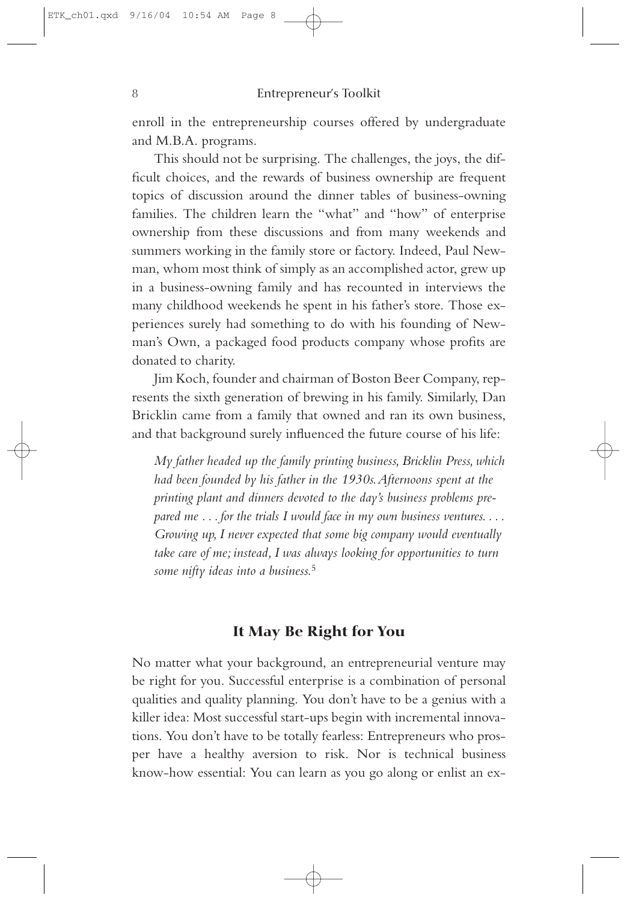enroll in the entrepreneurship courses offered by undergraduate and M.B.A. programs.

This should not be surprising. The challenges, the joys, the difficult choices, and the rewards of business ownership are frequent topics of discussion around the dinner tables of business-owning families. The children learn the "what" and "how" of enterprise ownership from these discussions and from many weekends and summers working in the family store or factory. Indeed, Paul Newman, whom most think of simply as an accomplished actor, grew up in a business-owning family and has recounted in interviews the many childhood weekends he spent in his father's store. Those experiences surely had something to do with his founding of Newman's Own, a packaged food products company whose profits are donated to charity.

Jim Koch, founder and chairman of Boston Beer Company, represents the sixth generation of brewing in his family. Similarly, Dan Bricklin came from a family that owned and ran its own business, and that background surely influenced the future course of his life:

*My father headed up the family printing business, Bricklin Press, which had been founded by his father in the 1930s.Afternoons spent at the printing plant and dinners devoted to the day's business problems prepared me ... for the trials I would face in my own business ventures.... Growing up, I never expected that some big company would eventually take care of me; instead, I was always looking for opportunities to turn some nifty ideas into a business.*<sup>5</sup>

### **It May Be Right for You**

No matter what your background, an entrepreneurial venture may be right for you. Successful enterprise is a combination of personal qualities and quality planning. You don't have to be a genius with a killer idea: Most successful start-ups begin with incremental innovations. You don't have to be totally fearless: Entrepreneurs who prosper have a healthy aversion to risk. Nor is technical business know-how essential: You can learn as you go along or enlist an ex